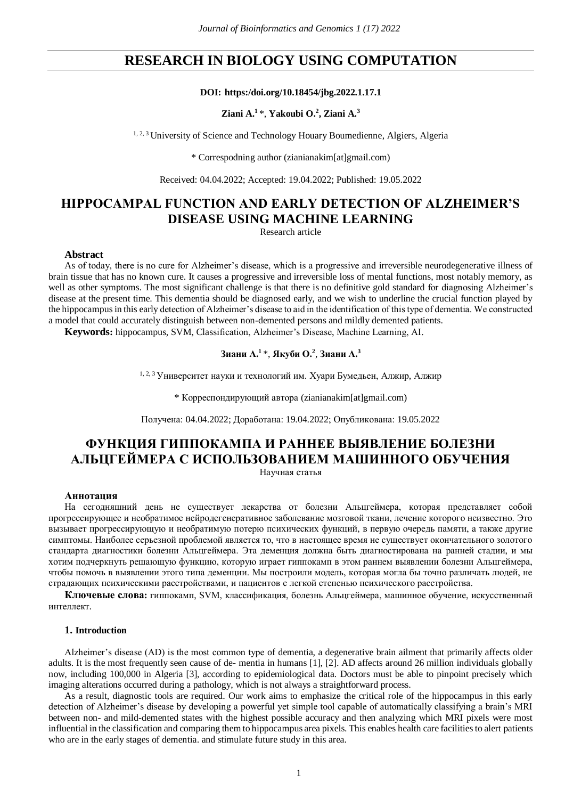## **RESEARCH IN BIOLOGY USING COMPUTATION**

#### **DOI: https:/doi.org/10.18454/jbg.2022.1.17.1**

#### **Ziani A.<sup>1</sup>**\*, **Yakoubi O. 2 , Ziani A. 3**

<sup>1, 2, 3</sup> University of Science and Technology Houary Boumedienne, Algiers, Algeria

\* Correspodning author (zianianakim[at]gmail.com)

Received: 04.04.2022; Accepted: 19.04.2022; Published: 19.05.2022

# **HIPPOCAMPAL FUNCTION AND EARLY DETECTION OF ALZHEIMER'S DISEASE USING MACHINE LEARNING**

Research article

#### **Abstract**

As of today, there is no cure for Alzheimer's disease, which is a progressive and irreversible neurodegenerative illness of brain tissue that has no known cure. It causes a progressive and irreversible loss of mental functions, most notably memory, as well as other symptoms. The most significant challenge is that there is no definitive gold standard for diagnosing Alzheimer's disease at the present time. This dementia should be diagnosed early, and we wish to underline the crucial function played by the hippocampus in this early detection of Alzheimer's disease to aid in the identification of this type of dementia. We constructed a model that could accurately distinguish between non-demented persons and mildly demented patients.

**Keywords:** hippocampus, SVM, Classification, Alzheimer's Disease, Machine Learning, AI.

### **Зиани А. <sup>1</sup>**\*, **Якуби О. 2** , **Зиани А. 3**

1, 2, 3 Университет науки и технологий им. Хуари Бумедьен, Алжир, Алжир

\* Корреспондирующий автора (zianianakim[at]gmail.com)

Получена: 04.04.2022; Доработана: 19.04.2022; Опубликована: 19.05.2022

# **ФУНКЦИЯ ГИППОКАМПА И РАННЕЕ ВЫЯВЛЕНИЕ БОЛЕЗНИ АЛЬЦГЕЙМЕРА С ИСПОЛЬЗОВАНИЕМ МАШИННОГО ОБУЧЕНИЯ**

Научная статья

#### **Аннотация**

На сегодняшний день не существует лекарства от болезни Альцгеймера, которая представляет собой прогрессирующее и необратимое нейродегенеративное заболевание мозговой ткани, лечение которого неизвестно. Это вызывает прогрессирующую и необратимую потерю психических функций, в первую очередь памяти, а также другие симптомы. Наиболее серьезной проблемой является то, что в настоящее время не существует окончательного золотого стандарта диагностики болезни Альцгеймера. Эта деменция должна быть диагностирована на ранней стадии, и мы хотим подчеркнуть решающую функцию, которую играет гиппокамп в этом раннем выявлении болезни Альцгеймера, чтобы помочь в выявлении этого типа деменции. Мы построили модель, которая могла бы точно различать людей, не страдающих психическими расстройствами, и пациентов с легкой степенью психического расстройства.

**Ключевые слова:** гиппокамп, SVM, классификация, болезнь Альцгеймера, машинное обучение, искусственный интеллект.

#### **1. Introduction**

Alzheimer's disease (AD) is the most common type of dementia, a degenerative brain ailment that primarily affects older adults. It is the most frequently seen cause of de- mentia in humans [1], [2]. AD affects around 26 million individuals globally now, including 100,000 in Algeria [3], according to epidemiological data. Doctors must be able to pinpoint precisely which imaging alterations occurred during a pathology, which is not always a straightforward process.

As a result, diagnostic tools are required. Our work aims to emphasize the critical role of the hippocampus in this early detection of Alzheimer's disease by developing a powerful yet simple tool capable of automatically classifying a brain's MRI between non- and mild-demented states with the highest possible accuracy and then analyzing which MRI pixels were most influential in the classification and comparing them to hippocampus area pixels. This enables health care facilities to alert patients who are in the early stages of dementia. and stimulate future study in this area.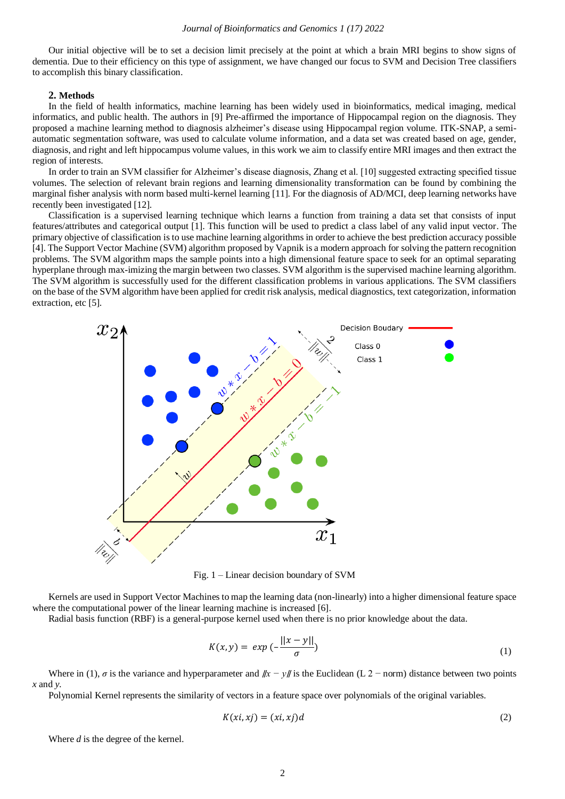Our initial objective will be to set a decision limit precisely at the point at which a brain MRI begins to show signs of dementia. Due to their efficiency on this type of assignment, we have changed our focus to SVM and Decision Tree classifiers to accomplish this binary classification.

#### **2. Methods**

In the field of health informatics, machine learning has been widely used in bioinformatics, medical imaging, medical informatics, and public health. The authors in [9] Pre-affirmed the importance of Hippocampal region on the diagnosis. They proposed a machine learning method to diagnosis alzheimer's disease using Hippocampal region volume. ITK-SNAP, a semiautomatic segmentation software, was used to calculate volume information, and a data set was created based on age, gender, diagnosis, and right and left hippocampus volume values, in this work we aim to classify entire MRI images and then extract the region of interests.

In order to train an SVM classifier for Alzheimer's disease diagnosis, Zhang et al. [10] suggested extracting specified tissue volumes. The selection of relevant brain regions and learning dimensionality transformation can be found by combining the marginal fisher analysis with norm based multi-kernel learning [11]. For the diagnosis of AD/MCI, deep learning networks have recently been investigated [12].

Classification is a supervised learning technique which learns a function from training a data set that consists of input features/attributes and categorical output [1]. This function will be used to predict a class label of any valid input vector. The primary objective of classification is to use machine learning algorithms in order to achieve the best prediction accuracy possible [4]. The Support Vector Machine (SVM) algorithm proposed by Vapnik is a modern approach for solving the pattern recognition problems. The SVM algorithm maps the sample points into a high dimensional feature space to seek for an optimal separating hyperplane through max-imizing the margin between two classes. SVM algorithm is the supervised machine learning algorithm. The SVM algorithm is successfully used for the different classification problems in various applications. The SVM classifiers on the base of the SVM algorithm have been applied for credit risk analysis, medical diagnostics, text categorization, information extraction, etc [5].



Fig. 1 – Linear decision boundary of SVM

Kernels are used in Support Vector Machines to map the learning data (non-linearly) into a higher dimensional feature space where the computational power of the linear learning machine is increased [6].

Radial basis function (RBF) is a general-purpose kernel used when there is no prior knowledge about the data.

$$
K(x, y) = exp\left(-\frac{||x - y||}{\sigma}\right) \tag{1}
$$

Where in (1), *σ* is the variance and hyperparameter and ∥*x − y*∥ is the Euclidean (L 2 − norm) distance between two points *x* and *y*.

Polynomial Kernel represents the similarity of vectors in a feature space over polynomials of the original variables.

$$
K(xi, xj) = (xi, xj)d
$$
\n<sup>(2)</sup>

Where *d* is the degree of the kernel.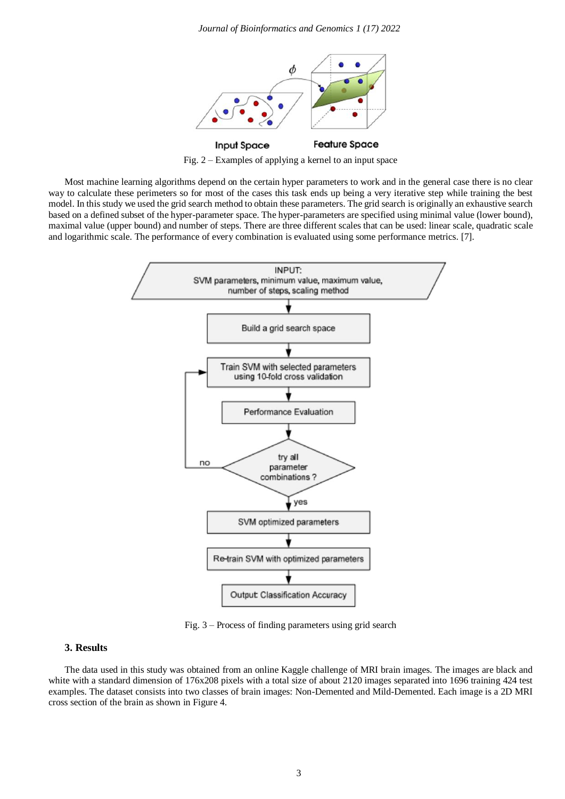

Fig. 2 – Examples of applying a kernel to an input space

Most machine learning algorithms depend on the certain hyper parameters to work and in the general case there is no clear way to calculate these perimeters so for most of the cases this task ends up being a very iterative step while training the best model. In this study we used the grid search method to obtain these parameters. The grid search is originally an exhaustive search based on a defined subset of the hyper-parameter space. The hyper-parameters are specified using minimal value (lower bound), maximal value (upper bound) and number of steps. There are three different scales that can be used: linear scale, quadratic scale and logarithmic scale. The performance of every combination is evaluated using some performance metrics. [7].



Fig. 3 – Process of finding parameters using grid search

#### **3. Results**

The data used in this study was obtained from an online Kaggle challenge of MRI brain images. The images are black and white with a standard dimension of 176x208 pixels with a total size of about 2120 images separated into 1696 training 424 test examples. The dataset consists into two classes of brain images: Non-Demented and Mild-Demented. Each image is a 2D MRI cross section of the brain as shown in Figure 4.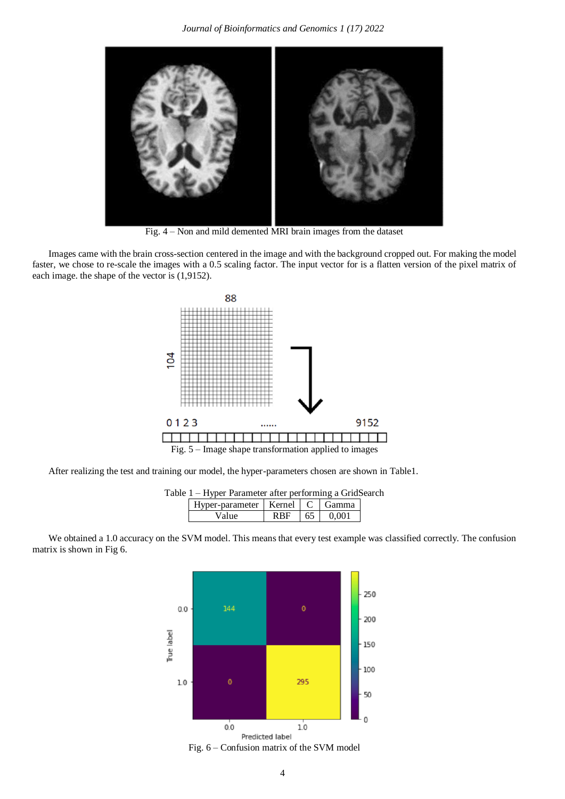

Fig. 4 – Non and mild demented MRI brain images from the dataset

Images came with the brain cross-section centered in the image and with the background cropped out. For making the model faster, we chose to re-scale the images with a 0.5 scaling factor. The input vector for is a flatten version of the pixel matrix of each image. the shape of the vector is (1,9152).



After realizing the test and training our model, the hyper-parameters chosen are shown in Table1.

| Table 1 – Hyper Parameter after performing a GridSearch |  |  |                |  |  |
|---------------------------------------------------------|--|--|----------------|--|--|
| Hyper-parameter   Kernel   C   Gamma                    |  |  |                |  |  |
| Value                                                   |  |  | $RBF$ 65 0.001 |  |  |

We obtained a 1.0 accuracy on the SVM model. This means that every test example was classified correctly. The confusion matrix is shown in Fig 6.



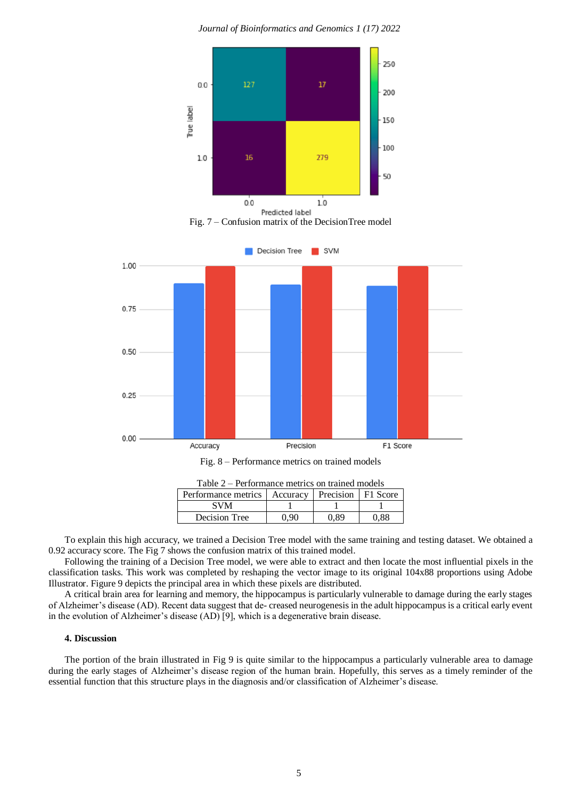*Journal of Bioinformatics and Genomics 1 (17) 2022*



| Table $2 - 1$ errormance metrics on trained moders    |  |  |  |  |  |  |
|-------------------------------------------------------|--|--|--|--|--|--|
| Performance metrics   Accuracy   Precision   F1 Score |  |  |  |  |  |  |
| <b>SVM</b>                                            |  |  |  |  |  |  |

To explain this high accuracy, we trained a Decision Tree model with the same training and testing dataset. We obtained a 0.92 accuracy score. The Fig 7 shows the confusion matrix of this trained model.

Decision Tree  $\begin{array}{|c|c|c|c|c|} \hline 0,90 & 0,89 & 0,88 \ \hline \end{array}$ 

Following the training of a Decision Tree model, we were able to extract and then locate the most influential pixels in the classification tasks. This work was completed by reshaping the vector image to its original 104x88 proportions using Adobe Illustrator. Figure 9 depicts the principal area in which these pixels are distributed.

A critical brain area for learning and memory, the hippocampus is particularly vulnerable to damage during the early stages of Alzheimer's disease (AD). Recent data suggest that de- creased neurogenesis in the adult hippocampus is a critical early event in the evolution of Alzheimer's disease (AD) [9], which is a degenerative brain disease.

#### **4. Discussion**

The portion of the brain illustrated in Fig 9 is quite similar to the hippocampus a particularly vulnerable area to damage during the early stages of Alzheimer's disease region of the human brain. Hopefully, this serves as a timely reminder of the essential function that this structure plays in the diagnosis and/or classification of Alzheimer's disease.